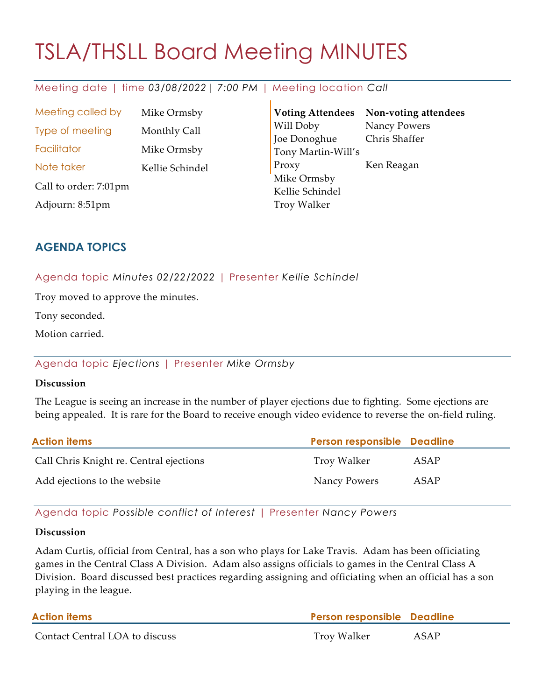# TSLA/THSLL Board Meeting MINUTES

# Meeting date | time *03/08/2022| 7:00 PM* | Meeting location *Call*

Meeting called by Mike Ormsby Type of meeting Monthly Call Facilitator Mike Ormsby Note taker Kellie Schindel Call to order: 7:01pm Adjourn: 8:51pm

**Voting Attendees** Will Doby Joe Donoghue Tony Martin-Will's Proxy Mike Ormsby Kellie Schindel Troy Walker **Non-voting attendees** Nancy Powers Chris Shaffer Ken Reagan

# **AGENDA TOPICS**

Agenda topic *Minutes 02/22/2022* | Presenter *Kellie Schindel*

Troy moved to approve the minutes.

Tony seconded.

Motion carried.

### Agenda topic *Ejections* | Presenter *Mike Ormsby*

#### **Discussion**

The League is seeing an increase in the number of player ejections due to fighting. Some ejections are being appealed. It is rare for the Board to receive enough video evidence to reverse the on-field ruling.

| <b>Action items</b>                     | Person responsible Deadline |      |
|-----------------------------------------|-----------------------------|------|
| Call Chris Knight re. Central ejections | Troy Walker                 | ASAP |
| Add ejections to the website            | Nancy Powers                | ASAP |

Agenda topic *Possible conflict of Interest* | Presenter *Nancy Powers*

#### **Discussion**

Adam Curtis, official from Central, has a son who plays for Lake Travis. Adam has been officiating games in the Central Class A Division. Adam also assigns officials to games in the Central Class A Division. Board discussed best practices regarding assigning and officiating when an official has a son playing in the league.

| <b>Action items</b>            | <b>Person responsible Deadline</b> |      |
|--------------------------------|------------------------------------|------|
| Contact Central LOA to discuss | Troy Walker                        | ASAP |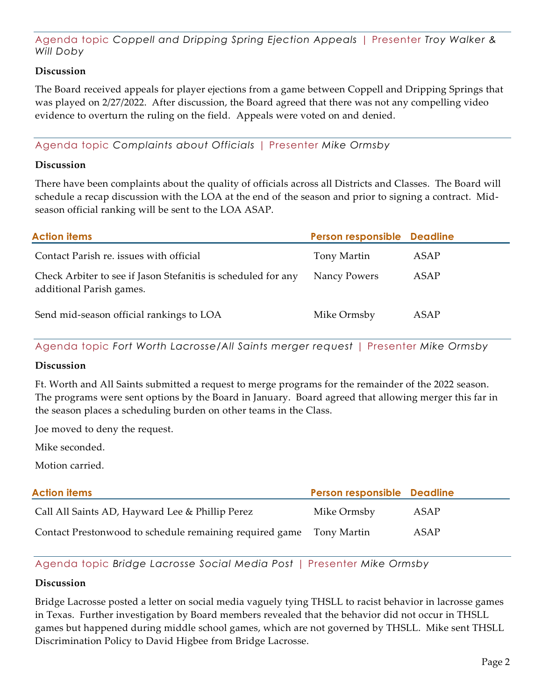## Agenda topic *Coppell and Dripping Spring Ejection Appeals* | Presenter *Troy Walker & Will Doby*

### **Discussion**

The Board received appeals for player ejections from a game between Coppell and Dripping Springs that was played on 2/27/2022. After discussion, the Board agreed that there was not any compelling video evidence to overturn the ruling on the field. Appeals were voted on and denied.

Agenda topic *Complaints about Officials* | Presenter *Mike Ormsby*

#### **Discussion**

There have been complaints about the quality of officials across all Districts and Classes. The Board will schedule a recap discussion with the LOA at the end of the season and prior to signing a contract. Midseason official ranking will be sent to the LOA ASAP.

| <b>Action items</b>                                                                       | Person responsible Deadline |      |
|-------------------------------------------------------------------------------------------|-----------------------------|------|
| Contact Parish re. issues with official                                                   | Tony Martin                 | ASAP |
| Check Arbiter to see if Jason Stefanitis is scheduled for any<br>additional Parish games. | Nancy Powers                | ASAP |
| Send mid-season official rankings to LOA                                                  | Mike Ormsby                 | ASAP |

Agenda topic *Fort Worth Lacrosse/All Saints merger request* | Presenter *Mike Ormsby*

#### **Discussion**

Ft. Worth and All Saints submitted a request to merge programs for the remainder of the 2022 season. The programs were sent options by the Board in January. Board agreed that allowing merger this far in the season places a scheduling burden on other teams in the Class.

Joe moved to deny the request.

Mike seconded.

Motion carried.

| <b>Action items</b>                                     | <b>Person responsible Deadline</b> |      |
|---------------------------------------------------------|------------------------------------|------|
| Call All Saints AD, Hayward Lee & Phillip Perez         | Mike Ormsby                        | ASAP |
| Contact Prestonwood to schedule remaining required game | Tony Martin                        | ASAP |

### Agenda topic *Bridge Lacrosse Social Media Post* | Presenter *Mike Ormsby*

#### **Discussion**

Bridge Lacrosse posted a letter on social media vaguely tying THSLL to racist behavior in lacrosse games in Texas. Further investigation by Board members revealed that the behavior did not occur in THSLL games but happened during middle school games, which are not governed by THSLL. Mike sent THSLL Discrimination Policy to David Higbee from Bridge Lacrosse.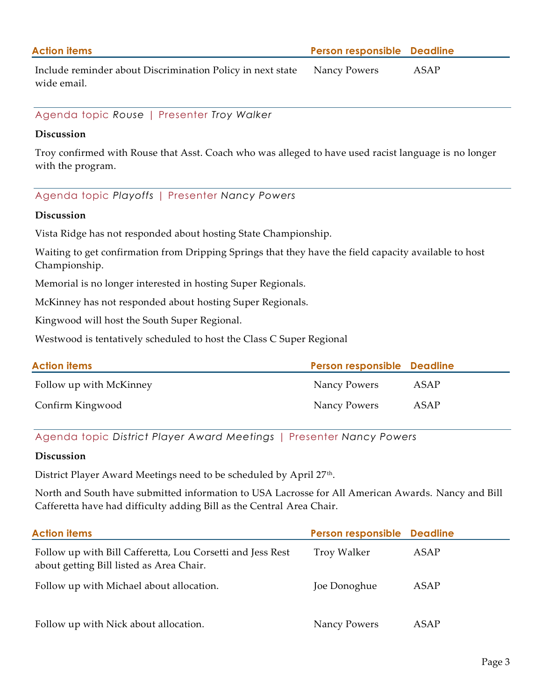**Action items Person responsible Deadline**

Include reminder about Discrimination Policy in next state wide email. Nancy Powers ASAP

Agenda topic *Rouse* | Presenter *Troy Walker*

#### **Discussion**

Troy confirmed with Rouse that Asst. Coach who was alleged to have used racist language is no longer with the program.

Agenda topic *Playoffs* | Presenter *Nancy Powers*

#### **Discussion**

Vista Ridge has not responded about hosting State Championship.

Waiting to get confirmation from Dripping Springs that they have the field capacity available to host Championship.

Memorial is no longer interested in hosting Super Regionals.

McKinney has not responded about hosting Super Regionals.

Kingwood will host the South Super Regional.

Westwood is tentatively scheduled to host the Class C Super Regional

| <b>Action items</b>     | Person responsible Deadline |      |
|-------------------------|-----------------------------|------|
| Follow up with McKinney | Nancy Powers                | ASAP |
| Confirm Kingwood        | Nancy Powers                | ASAP |

#### Agenda topic *District Player Award Meetings* | Presenter *Nancy Powers*

#### **Discussion**

District Player Award Meetings need to be scheduled by April 27th.

North and South have submitted information to USA Lacrosse for All American Awards. Nancy and Bill Cafferetta have had difficulty adding Bill as the Central Area Chair.

| <b>Action items</b>                                                                                    | Person responsible Deadline |      |
|--------------------------------------------------------------------------------------------------------|-----------------------------|------|
| Follow up with Bill Cafferetta, Lou Corsetti and Jess Rest<br>about getting Bill listed as Area Chair. | Troy Walker                 | ASAP |
| Follow up with Michael about allocation.                                                               | Joe Donoghue                | ASAP |
| Follow up with Nick about allocation.                                                                  | Nancy Powers                | ASAP |